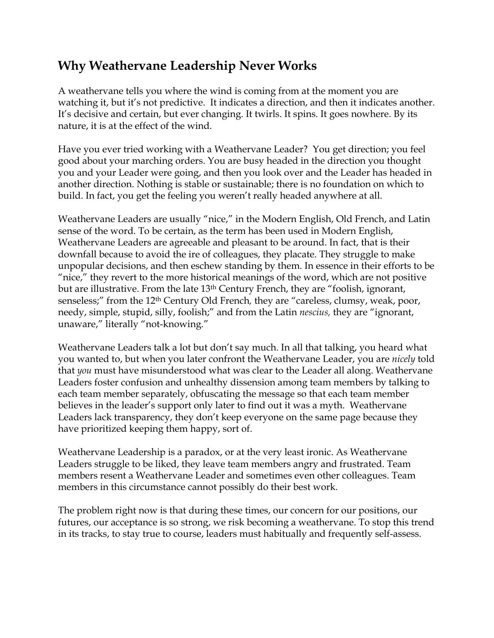## **Why Weathervane Leadership Never Works**

A weathervane tells you where the wind is coming from at the moment you are watching it, but it's not predictive. It indicates a direction, and then it indicates another. It's decisive and certain, but ever changing. It twirls. It spins. It goes nowhere. By its nature, it is at the effect of the wind.

Have you ever tried working with a Weathervane Leader? You get direction; you feel good about your marching orders. You are busy headed in the direction you thought you and your Leader were going, and then you look over and the Leader has headed in another direction. Nothing is stable or sustainable; there is no foundation on which to build. In fact, you get the feeling you weren't really headed anywhere at all.

Weathervane Leaders are usually "nice," in the Modern English, Old French, and Latin sense of the word. To be certain, as the term has been used in Modern English, Weathervane Leaders are agreeable and pleasant to be around. In fact, that is their downfall because to avoid the ire of colleagues, they placate. They struggle to make unpopular decisions, and then eschew standing by them. In essence in their efforts to be "nice," they revert to the more historical meanings of the word, which are not positive but are illustrative. From the late 13th Century French, they are "foolish, ignorant, senseless;" from the 12th Century Old French*,* they are "careless, clumsy, weak, poor, needy, simple, stupid, silly, foolish;" and from the Latin *nescius,* they are "ignorant, unaware," literally "not-knowing."

Weathervane Leaders talk a lot but don't say much. In all that talking, you heard what you wanted to, but when you later confront the Weathervane Leader, you are *nicely* told that *you* must have misunderstood what was clear to the Leader all along. Weathervane Leaders foster confusion and unhealthy dissension among team members by talking to each team member separately, obfuscating the message so that each team member believes in the leader's support only later to find out it was a myth. Weathervane Leaders lack transparency, they don't keep everyone on the same page because they have prioritized keeping them happy, sort of.

Weathervane Leadership is a paradox, or at the very least ironic. As Weathervane Leaders struggle to be liked, they leave team members angry and frustrated. Team members resent a Weathervane Leader and sometimes even other colleagues. Team members in this circumstance cannot possibly do their best work.

The problem right now is that during these times, our concern for our positions, our futures, our acceptance is so strong, we risk becoming a weathervane. To stop this trend in its tracks, to stay true to course, leaders must habitually and frequently self-assess.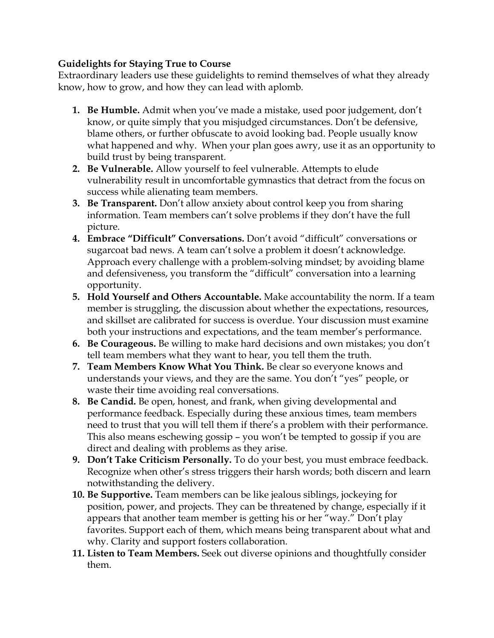## **Guidelights for Staying True to Course**

Extraordinary leaders use these guidelights to remind themselves of what they already know, how to grow, and how they can lead with aplomb.

- **1. Be Humble.** Admit when you've made a mistake, used poor judgement, don't know, or quite simply that you misjudged circumstances. Don't be defensive, blame others, or further obfuscate to avoid looking bad. People usually know what happened and why. When your plan goes awry, use it as an opportunity to build trust by being transparent.
- **2. Be Vulnerable.** Allow yourself to feel vulnerable. Attempts to elude vulnerability result in uncomfortable gymnastics that detract from the focus on success while alienating team members.
- **3. Be Transparent.** Don't allow anxiety about control keep you from sharing information. Team members can't solve problems if they don't have the full picture.
- **4. Embrace "Difficult" Conversations.** Don't avoid "difficult" conversations or sugarcoat bad news. A team can't solve a problem it doesn't acknowledge. Approach every challenge with a problem-solving mindset; by avoiding blame and defensiveness, you transform the "difficult" conversation into a learning opportunity.
- **5. Hold Yourself and Others Accountable.** Make accountability the norm. If a team member is struggling, the discussion about whether the expectations, resources, and skillset are calibrated for success is overdue. Your discussion must examine both your instructions and expectations, and the team member's performance.
- **6. Be Courageous.** Be willing to make hard decisions and own mistakes; you don't tell team members what they want to hear, you tell them the truth.
- **7. Team Members Know What You Think.** Be clear so everyone knows and understands your views, and they are the same. You don't "yes" people, or waste their time avoiding real conversations.
- **8. Be Candid.** Be open, honest, and frank, when giving developmental and performance feedback. Especially during these anxious times, team members need to trust that you will tell them if there's a problem with their performance. This also means eschewing gossip – you won't be tempted to gossip if you are direct and dealing with problems as they arise.
- **9. Don't Take Criticism Personally.** To do your best, you must embrace feedback. Recognize when other's stress triggers their harsh words; both discern and learn notwithstanding the delivery.
- **10. Be Supportive.** Team members can be like jealous siblings, jockeying for position, power, and projects. They can be threatened by change, especially if it appears that another team member is getting his or her "way." Don't play favorites. Support each of them, which means being transparent about what and why. Clarity and support fosters collaboration.
- **11. Listen to Team Members.** Seek out diverse opinions and thoughtfully consider them.